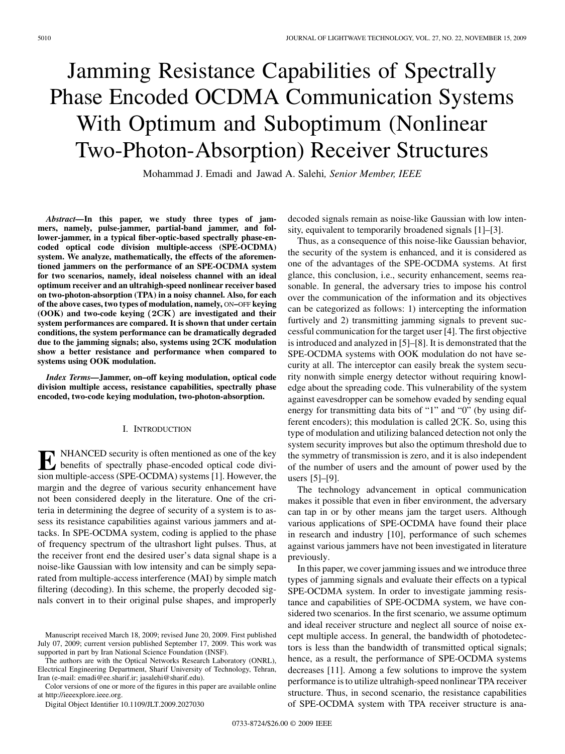# Jamming Resistance Capabilities of Spectrally Phase Encoded OCDMA Communication Systems With Optimum and Suboptimum (Nonlinear Two-Photon-Absorption) Receiver Structures

Mohammad J. Emadi and Jawad A. Salehi*, Senior Member, IEEE*

*Abstract—***In this paper, we study three types of jammers, namely, pulse-jammer, partial-band jammer, and follower-jammer, in a typical fiber-optic-based spectrally phase-encoded optical code division multiple-access (SPE-OCDMA) system. We analyze, mathematically, the effects of the aforementioned jammers on the performance of an SPE-OCDMA system for two scenarios, namely, ideal noiseless channel with an ideal optimum receiver and an ultrahigh-speed nonlinear receiver based on two-photon-absorption (TPA) in a noisy channel. Also, for each of the above cases, two types of modulation, namely,** ON**–**OFF **keying** (OOK) and two-code keying (2CK) are investigated and their **system performances are compared. It is shown that under certain conditions, the system performance can be dramatically degraded** due to the jamming signals; also, systems using  $2CK$  modulation **show a better resistance and performance when compared to systems using OOK modulation.**

*Index Terms—***Jammer, on–off keying modulation, optical code division multiple access, resistance capabilities, spectrally phase encoded, two-code keying modulation, two-photon-absorption.**

#### I. INTRODUCTION

**E** NHANCED security is often mentioned as one of the key<br>benefits of spectrally phase-encoded optical code divi-<br>sion multiple access (SPE OCDMA) systems [1] However the sion multiple-access (SPE-OCDMA) systems [1]. However, the margin and the degree of various security enhancement have not been considered deeply in the literature. One of the criteria in determining the degree of security of a system is to assess its resistance capabilities against various jammers and attacks. In SPE-OCDMA system, coding is applied to the phase of frequency spectrum of the ultrashort light pulses. Thus, at the receiver front end the desired user's data signal shape is a noise-like Gaussian with low intensity and can be simply separated from multiple-access interference (MAI) by simple match filtering (decoding). In this scheme, the properly decoded signals convert in to their original pulse shapes, and improperly

The authors are with the Optical Networks Research Laboratory (ONRL), Electrical Engineering Department, Sharif University of Technology, Tehran, Iran (e-mail: emadi@ee.sharif.ir; jasalehi@sharif.edu).

Color versions of one or more of the figures in this paper are available online at http://ieeexplore.ieee.org.

Digital Object Identifier 10.1109/JLT.2009.2027030

decoded signals remain as noise-like Gaussian with low intensity, equivalent to temporarily broadened signals [1]–[3].

Thus, as a consequence of this noise-like Gaussian behavior, the security of the system is enhanced, and it is considered as one of the advantages of the SPE-OCDMA systems. At first glance, this conclusion, i.e., security enhancement, seems reasonable. In general, the adversary tries to impose his control over the communication of the information and its objectives can be categorized as follows: 1) intercepting the information furtively and 2) transmitting jamming signals to prevent successful communication for the target user [4]. The first objective is introduced and analyzed in [5]–[8]. It is demonstrated that the SPE-OCDMA systems with OOK modulation do not have security at all. The interceptor can easily break the system security nonwith simple energy detector without requiring knowledge about the spreading code. This vulnerability of the system against eavesdropper can be somehow evaded by sending equal energy for transmitting data bits of "1" and "0" (by using different encoders); this modulation is called  $2CK$ . So, using this type of modulation and utilizing balanced detection not only the system security improves but also the optimum threshold due to the symmetry of transmission is zero, and it is also independent of the number of users and the amount of power used by the users [5]–[9].

The technology advancement in optical communication makes it possible that even in fiber environment, the adversary can tap in or by other means jam the target users. Although various applications of SPE-OCDMA have found their place in research and industry [10], performance of such schemes against various jammers have not been investigated in literature previously.

In this paper, we cover jamming issues and we introduce three types of jamming signals and evaluate their effects on a typical SPE-OCDMA system. In order to investigate jamming resistance and capabilities of SPE-OCDMA system, we have considered two scenarios. In the first scenario, we assume optimum and ideal receiver structure and neglect all source of noise except multiple access. In general, the bandwidth of photodetectors is less than the bandwidth of transmitted optical signals; hence, as a result, the performance of SPE-OCDMA systems decreases [11]. Among a few solutions to improve the system performance is to utilize ultrahigh-speed nonlinear TPA receiver structure. Thus, in second scenario, the resistance capabilities of SPE-OCDMA system with TPA receiver structure is ana-

Manuscript received March 18, 2009; revised June 20, 2009. First published July 07, 2009; current version published September 17, 2009. This work was supported in part by Iran National Science Foundation (INSF).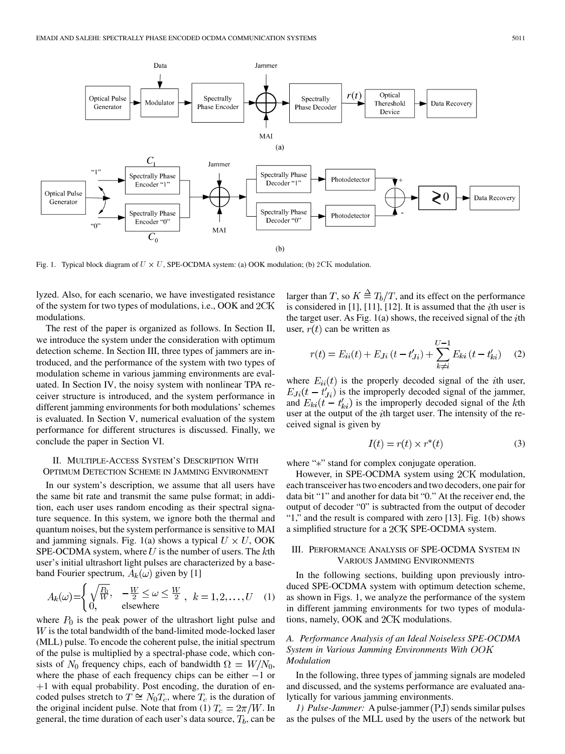

Fig. 1. Typical block diagram of  $U \times U$ , SPE-OCDMA system: (a) OOK modulation; (b) 2CK modulation.

lyzed. Also, for each scenario, we have investigated resistance of the system for two types of modulations, i.e., OOK and modulations.

The rest of the paper is organized as follows. In Section II, we introduce the system under the consideration with optimum detection scheme. In Section III, three types of jammers are introduced, and the performance of the system with two types of modulation scheme in various jamming environments are evaluated. In Section IV, the noisy system with nonlinear TPA receiver structure is introduced, and the system performance in different jamming environments for both modulations' schemes is evaluated. In Section V, numerical evaluation of the system performance for different structures is discussed. Finally, we conclude the paper in Section VI.

## II. MULTIPLE-ACCESS SYSTEM'S DESCRIPTION WITH OPTIMUM DETECTION SCHEME IN JAMMING ENVIRONMENT

In our system's description, we assume that all users have the same bit rate and transmit the same pulse format; in addition, each user uses random encoding as their spectral signature sequence. In this system, we ignore both the thermal and quantum noises, but the system performance is sensitive to MAI and jamming signals. Fig. 1(a) shows a typical  $U \times U$ , OOK SPE-OCDMA system, where  $U$  is the number of users. The  $k$ th user's initial ultrashort light pulses are characterized by a baseband Fourier spectrum,  $A_k(\omega)$  given by [1]

$$
A_k(\omega) = \begin{cases} \sqrt{\frac{P_0}{W}}, & -\frac{W}{2} \le \omega \le \frac{W}{2}, \quad k = 1, 2, \dots, U \quad (1) \\ 0, & \text{elsewhere} \end{cases}
$$

where  $P_0$  is the peak power of the ultrashort light pulse and  $W$  is the total bandwidth of the band-limited mode-locked laser (MLL) pulse. To encode the coherent pulse, the initial spectrum of the pulse is multiplied by a spectral-phase code, which consists of  $N_0$  frequency chips, each of bandwidth  $\Omega = W/N_0$ , where the phase of each frequency chips can be either  $-1$  or  $+1$  with equal probability. Post encoding, the duration of encoded pulses stretch to  $T \cong N_0T_c$ , where  $T_c$  is the duration of the original incident pulse. Note that from (1)  $T_c = 2\pi/W$ . In general, the time duration of each user's data source,  $T_b$ , can be

larger than T, so  $K \stackrel{\Delta}{=} T_b/T$ , and its effect on the performance is considered in [1], [11], [12]. It is assumed that the *i*th user is the target user. As Fig.  $1(a)$  shows, the received signal of the *i*th user,  $r(t)$  can be written as

$$
r(t) = E_{ii}(t) + E_{Ji}(t - t'_{Ji}) + \sum_{k \neq i}^{U-1} E_{ki}(t - t'_{ki})
$$
 (2)

where  $E_{ii}(t)$  is the properly decoded signal of the *i*th user,  $E_{J_i}(t-t'_{J_i})$  is the improperly decoded signal of the jammer, and  $E_{ki}(t - t'_{ki})$  is the improperly decoded signal of the kth user at the output of the *i*th target user. The intensity of the received signal is given by

$$
I(t) = r(t) \times r^*(t) \tag{3}
$$

where "\*" stand for complex conjugate operation.

However, in SPE-OCDMA system using  $2CK$  modulation, each transceiver has two encoders and two decoders, one pair for data bit "1" and another for data bit "0." At the receiver end, the output of decoder "0" is subtracted from the output of decoder "1," and the result is compared with zero [13]. Fig. 1(b) shows a simplified structure for a 2CK SPE-OCDMA system.

## III. PERFORMANCE ANALYSIS OF SPE-OCDMA SYSTEM IN VARIOUS JAMMING ENVIRONMENTS

In the following sections, building upon previously introduced SPE-OCDMA system with optimum detection scheme, as shown in Figs. 1, we analyze the performance of the system in different jamming environments for two types of modulations, namely, OOK and 2CK modulations.

## *A. Performance Analysis of an Ideal Noiseless SPE-OCDMA System in Various Jamming Environments With Modulation*

In the following, three types of jamming signals are modeled and discussed, and the systems performance are evaluated analytically for various jamming environments.

*1) Pulse-Jammer:* A pulse-jammer (PJ) sends similar pulses as the pulses of the MLL used by the users of the network but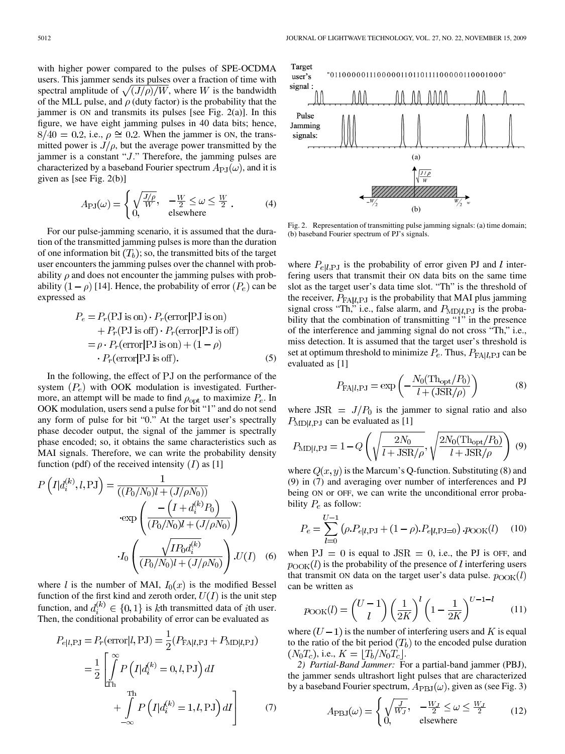with higher power compared to the pulses of SPE-OCDMA users. This jammer sends its pulses over a fraction of time with spectral amplitude of  $\sqrt{(J/\rho)/W}$ , where W is the bandwidth of the MLL pulse, and  $\rho$  (duty factor) is the probability that the jammer is ON and transmits its pulses [see Fig. 2(a)]. In this figure, we have eight jamming pulses in 40 data bits; hence,  $8/40 = 0.2$ , i.e.,  $\rho \approx 0.2$ . When the jammer is ON, the transmitted power is  $J/\rho$ , but the average power transmitted by the jammer is a constant " $J$ ." Therefore, the jamming pulses are characterized by a baseband Fourier spectrum  $A_{\rm{PJ}}(\omega)$ , and it is given as [see Fig. 2(b)]

$$
A_{\rm PJ}(\omega) = \begin{cases} \sqrt{\frac{J/\rho}{W}}, & -\frac{W}{2} \le \omega \le \frac{W}{2} \\ 0, & \text{elsewhere} \end{cases}
$$
 (4)

For our pulse-jamming scenario, it is assumed that the duration of the transmitted jamming pulses is more than the duration of one information bit  $(T_h)$ ; so, the transmitted bits of the target user encounters the jamming pulses over the channel with probability  $\rho$  and does not encounter the jamming pulses with probability  $(1-\rho)$  [14]. Hence, the probability of error  $(P_e)$  can be expressed as

$$
P_e = P_r(PJ \text{ is on}) \cdot P_r(\text{error}|PJ \text{ is on})
$$
  
+  $P_r(PJ \text{ is off}) \cdot P_r(\text{error}|PJ \text{ is off})$   
=  $\rho \cdot P_r(\text{error}|PJ \text{ is on}) + (1 - \rho)$   
 $\cdot P_r(\text{error}|PJ \text{ is off}).$  (5)

In the following, the effect of PJ on the performance of the system  $(P_e)$  with OOK modulation is investigated. Furthermore, an attempt will be made to find  $\rho_{opt}$  to maximize  $P_e$ . In OOK modulation, users send a pulse for bit "1" and do not send any form of pulse for bit "0." At the target user's spectrally phase decoder output, the signal of the jammer is spectrally phase encoded; so, it obtains the same characteristics such as MAI signals. Therefore, we can write the probability density function (pdf) of the received intensity  $(I)$  as [1]

$$
P\left(I|d_i^{(k)}, l, PJ\right) = \frac{1}{((P_0/N_0)l + (J/\rho N_0))}
$$

$$
\cdot \exp\left(\frac{-\left(I + d_i^{(k)}P_0\right)}{(P_0/N_0)l + (J/\rho N_0)}\right)
$$

$$
\cdot I_0\left(\frac{\sqrt{IP_0 d_i^{(k)}}}{(P_0/N_0)l + (J/\rho N_0)}\right) \cdot U(I) \quad (6)
$$

where l is the number of MAI,  $I_0(x)$  is the modified Bessel function of the first kind and zeroth order,  $U(I)$  is the unit step function, and  $d_i^{(k)} \in \{0,1\}$  is kth transmitted data of *i*th user. Then, the conditional probability of error can be evaluated as

$$
P_{ell,PI} = P_r(\text{error}|l, PJ) = \frac{1}{2}(P_{FA|l,PI} + P_{MD|l,PI})
$$

$$
= \frac{1}{2} \left[ \int_{Th}^{\infty} P\left(I|d_i^{(k)} = 0, l, PJ\right) dI + \int_{-\infty}^{Th} P\left(I|d_i^{(k)} = 1, l, PJ\right) dI \right]
$$
(7)



Fig. 2. Representation of transmitting pulse jamming signals: (a) time domain; (b) baseband Fourier spectrum of PJ's signals.

where  $P_{e|l, PJ}$  is the probability of error given PJ and l interfering users that transmit their ON data bits on the same time slot as the target user's data time slot. "Th" is the threshold of the receiver,  $P_{FA|l, PJ}$  is the probability that MAI plus jamming signal cross "Th," i.e., false alarm, and  $P_{MD|l, PJ}$  is the probability that the combination of transmitting "1" in the presence of the interference and jamming signal do not cross "Th," i.e., miss detection. It is assumed that the target user's threshold is set at optimum threshold to minimize  $P_e$ . Thus,  $P_{\text{FAll},\text{PJ}}$  can be evaluated as [1]

$$
P_{\text{FA}|l,\text{PJ}} = \exp\left(-\frac{N_0(\text{Th}_{\text{opt}}/P_0)}{l + (\text{JSR}/\rho)}\right) \tag{8}
$$

where  $JSR = J/P_0$  is the jammer to signal ratio and also  $P_{\text{MD}|l,\text{P,I}}$  can be evaluated as [1]

$$
P_{\text{MD}|l, \text{PJ}} = 1 - Q \left( \sqrt{\frac{2N_0}{l + \text{JSR}/\rho}}, \sqrt{\frac{2N_0(\text{Th}_{\text{opt}}/P_0)}{l + \text{JSR}/\rho}} \right) (9)
$$

where  $Q(x, y)$  is the Marcum's Q-function. Substituting (8) and (9) in (7) and averaging over number of interferences and PJ being ON or OFF, we can write the unconditional error probability  $P_e$  as follow:

$$
P_e = \sum_{l=0}^{U-1} (\rho P_{e|l, \text{PJ}} + (1 - \rho) P_{e|l, \text{PJ}}) P_{\text{OOK}}(l) \quad (10)
$$

when  $PJ = 0$  is equal to  $JSR = 0$ , i.e., the PJ is OFF, and  $p_{\text{OOK}}(l)$  is the probability of the presence of l interfering users that transmit ON data on the target user's data pulse.  $p_{\text{OOK}}(l)$ can be written as

$$
p_{\text{OOK}}(l) = {U-1 \choose l} \left(\frac{1}{2K}\right)^l \left(1 - \frac{1}{2K}\right)^{U-1-l} \tag{11}
$$

where  $(U-1)$  is the number of interfering users and K is equal to the ratio of the bit period  $(T_b)$  to the encoded pulse duration  $(N_0T_c)$ , i.e.,  $K = [T_b/N_0T_c]$ .

*2) Partial-Band Jammer:* For a partial-band jammer (PBJ), the jammer sends ultrashort light pulses that are characterized by a baseband Fourier spectrum,  $A_{\rm PBJ}(\omega)$ , given as (see Fig. 3)

$$
A_{\rm PBJ}(\omega) = \begin{cases} \sqrt{\frac{J}{W_J}}, & -\frac{W_J}{2} \le \omega \le \frac{W_J}{2} \\ 0, & \text{elsewhere} \end{cases}
$$
 (12)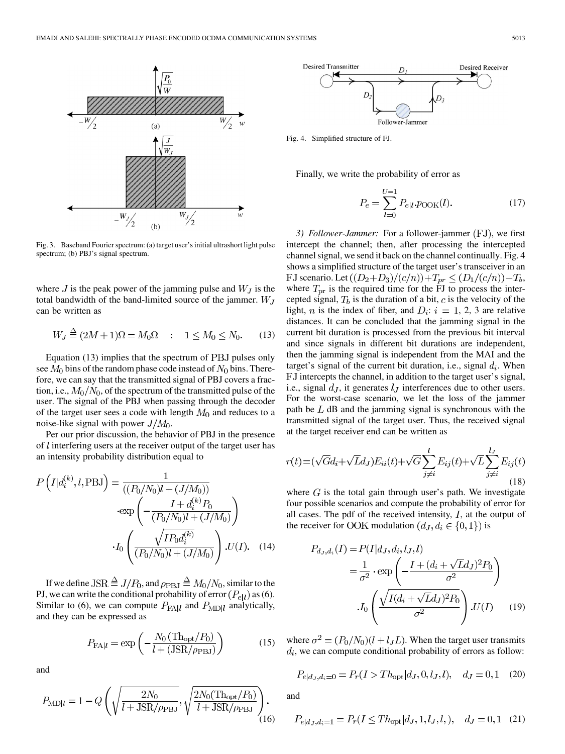

Fig. 3. Baseband Fourier spectrum: (a) target user's initial ultrashort light pulse spectrum; (b) PBJ's signal spectrum.

where  $J$  is the peak power of the jamming pulse and  $W_J$  is the total bandwidth of the band-limited source of the jammer.  $W_J$ can be written as

 $\lambda$ 

$$
W_J \stackrel{\Delta}{=} (2M+1)\Omega = M_0\Omega \quad : \quad 1 \le M_0 \le N_0. \tag{13}
$$

Equation  $(13)$  implies that the spectrum of PBJ pulses only see  $M_0$  bins of the random phase code instead of  $N_0$  bins. Therefore, we can say that the transmitted signal of PBJ covers a fraction, i.e.,  $M_0/N_0$ , of the spectrum of the transmitted pulse of the user. The signal of the PBJ when passing through the decoder of the target user sees a code with length  $M_0$  and reduces to a noise-like signal with power  $J/M_0$ .

Per our prior discussion, the behavior of PBJ in the presence of  $l$  interfering users at the receiver output of the target user has an intensity probability distribution equal to

$$
P\left(I|d_i^{(k)}, l, \text{PBJ}\right) = \frac{1}{((P_0/N_0)l + (J/M_0))}
$$

$$
\cdot \exp\left(-\frac{I + d_i^{(k)}P_0}{(P_0/N_0)l + (J/M_0)}\right)
$$

$$
I_0\left(\frac{\sqrt{IP_0 d_i^{(k)}}}{(P_0/N_0)l + (J/M_0)}\right) \cdot U(I). \quad (14)
$$

If we define JSR  $\triangleq J/P_0$ , and  $\rho_{\rm PBJ} \triangleq M_0/N_0$ , similar to the PJ, we can write the conditional probability of error  $(P_{el}$ ) as (6). Similar to (6), we can compute  $P_{\text{FA}|l}$  and  $P_{\text{MD}|l}$  analytically, and they can be expressed as

$$
P_{\text{FA}|l} = \exp\left(-\frac{N_0 \left(\text{Th}_{\text{opt}}/P_0\right)}{l + \left(\text{JSR}/\rho_{\text{PBJ}}\right)}\right) \tag{15}
$$

and

$$
P_{\rm MD|l} = 1 - Q\left(\sqrt{\frac{2N_0}{l + \rm JSR/\rho_{PBJ}}}, \sqrt{\frac{2N_0(\rm Th_{opt}/P_0)}{l + \rm JSR/\rho_{PBJ}}}\right). \tag{16}
$$



Fig. 4. Simplified structure of FJ.

Finally, we write the probability of error as

$$
P_e = \sum_{l=0}^{U-1} P_{ell} \cdot p_{\text{OOK}}(l). \tag{17}
$$

*3) Follower-Jammer:* For a follower-jammer (FJ), we first intercept the channel; then, after processing the intercepted channel signal, we send it back on the channel continually. Fig. 4 shows a simplified structure of the target user's transceiver in an FJ scenario. Let  $((D_2+D_3)/(c/n))+T_{pr} \le (D_1/(c/n))+T_b$ , where  $T_{\text{pr}}$  is the required time for the FJ to process the intercepted signal,  $T_b$  is the duration of a bit,  $c$  is the velocity of the light, *n* is the index of fiber, and  $D_i$ :  $i = 1, 2, 3$  are relative distances. It can be concluded that the jamming signal in the current bit duration is processed from the previous bit interval and since signals in different bit durations are independent, then the jamming signal is independent from the MAI and the target's signal of the current bit duration, i.e., signal  $d_i$ . When FJ intercepts the channel, in addition to the target user's signal, i.e., signal  $d_J$ , it generates  $l_J$  interferences due to other users. For the worst-case scenario, we let the loss of the jammer path be  $L$  dB and the jamming signal is synchronous with the transmitted signal of the target user. Thus, the received signal at the target receiver end can be written as

$$
r(t) = (\sqrt{G}d_i + \sqrt{L}d_J)E_{ii}(t) + \sqrt{G}\sum_{j\neq i}^{l} E_{ij}(t) + \sqrt{L}\sum_{j\neq i}^{l_J} E_{ij}(t)
$$
\n(18)

where  $G$  is the total gain through user's path. We investigate four possible scenarios and compute the probability of error for all cases. The pdf of the received intensity,  $I$ , at the output of the receiver for OOK modulation  $(d_J, d_i \in \{0, 1\})$  is

$$
P_{d_J, d_i}(I) = P(I|d_J, d_i, l_J, l)
$$
  
=  $\frac{1}{\sigma^2} \cdot \exp\left(-\frac{I + (d_i + \sqrt{L}d_J)^2 P_0}{\sigma^2}\right)$   

$$
I_0 \left(\frac{\sqrt{I(d_i + \sqrt{L}d_J)^2 P_0}}{\sigma^2}\right) . U(I) \qquad (19)
$$

where  $\sigma^2 = (P_0/N_0)(l + l_J L)$ . When the target user transmits  $d_i$ , we can compute conditional probability of errors as follow:

$$
P_{e|d_J, d_i=0} = P_r(I > Th_{\text{opt}}|d_J, 0, l_J, l), \quad d_J = 0, 1 \quad (20)
$$

and

$$
P_{e|d_J, d_i=1} = P_r(I \le Th_{\text{opt}}|d_J, 1, l_J, l, ), \quad d_J = 0, 1 \quad (21)
$$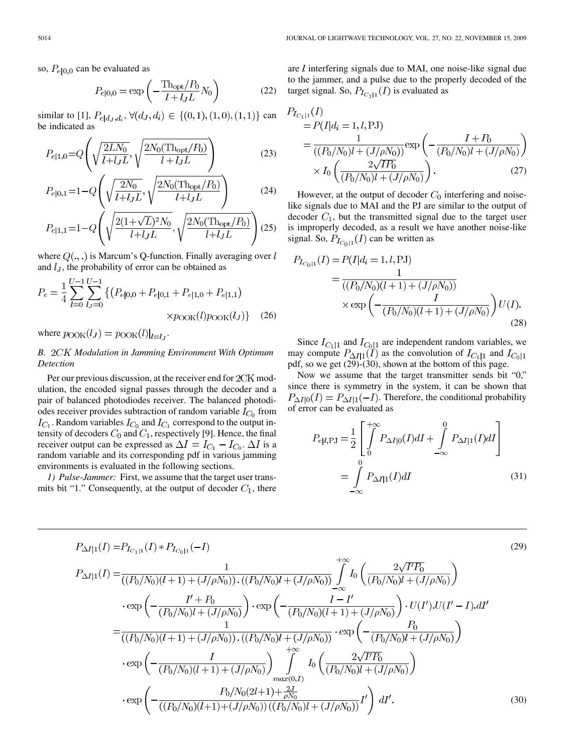so,  $P_{e|0,0}$  can be evaluated as

$$
P_{e|0,0} = \exp\left(-\frac{\text{Th}_{\text{opt}}/P_0}{l + l_J L}N_0\right)
$$
 (22)

similar to [1],  $P_{e|d_J, d_i}$ ,  $\forall (d_J, d_i) \in \{(0, 1), (1, 0), (1, 1)\}$  can be indicated as

$$
P_{e|1,0} = Q\left(\sqrt{\frac{2LN_0}{l + l_J L}}, \sqrt{\frac{2N_0(\text{Th}_{\text{opt}}/P_0)}{l + l_J L}}\right)
$$
(23)

$$
P_{e|0,1} = 1 - Q\left(\sqrt{\frac{2N_0}{l + l_J L}}, \sqrt{\frac{2N_0(\text{Th}_{\text{opt}}/P_0)}{l + l_J L}}\right)
$$
(24)

$$
P_{e|1,1} = 1 - Q\left(\sqrt{\frac{2(1+\sqrt{L})^2 N_0}{l+l_J L}}, \sqrt{\frac{2N_0(\text{Th}_{\text{opt}}/P_0)}{l+l_J L}}\right)
$$
(25)

where  $Q(.,.)$  is Marcum's Q-function. Finally averaging over l and  $l_J$ , the probability of error can be obtained as

$$
P_e = \frac{1}{4} \sum_{l=0}^{U-1} \sum_{l,j=0}^{U-1} \left\{ \left( P_{e|0,0} + P_{e|0,1} + P_{e|1,0} + P_{e|1,1} \right) \right. \\
\times p_{\text{OOK}}(l) p_{\text{OOK}}(l) \right\} \tag{26}
$$

where  $p_{\text{OOK}}(l_J) = p_{\text{OOK}}(l)|_{l=l_J}$ .

## *B. Modulation in Jamming Environment With Optimum Detection*

Per our previous discussion, at the receiver end for  $2CK$  modulation, the encoded signal passes through the decoder and a pair of balanced photodiodes receiver. The balanced photodiodes receiver provides subtraction of random variable  $I_{C_0}$  from  $I_{C_1}$ . Random variables  $I_{C_0}$  and  $I_{C_1}$  correspond to the output intensity of decoders  $C_0$  and  $C_1$ , respectively [9]. Hence, the final receiver output can be expressed as  $\Delta I = I_{C_1} - I_{C_0}$ .  $\Delta I$  is a random variable and its corresponding pdf in various jamming environments is evaluated in the following sections.

*1) Pulse-Jammer:* First, we assume that the target user transmits bit "1." Consequently, at the output of decoder  $C_1$ , there

are  $l$  interfering signals due to MAI, one noise-like signal due to the jammer, and a pulse due to the properly decoded of the target signal. So,  $P_{I_{C_1|1}}(I)$  is evaluated as

$$
P_{I_{C_1|1}}(I)
$$
  
= P(I|d<sub>i</sub> = 1, l, PJ)  
= 
$$
\frac{1}{((P_0/N_0)l + (J/\rho N_0))} \exp\left(-\frac{I+P_0}{(P_0/N_0)l + (J/\rho N_0)}\right)
$$
  

$$
\times I_0 \left(\frac{2\sqrt{IP_0}}{(P_0/N_0)l + (J/\rho N_0)}\right).
$$
 (27)

However, at the output of decoder  $C_0$  interfering and noiselike signals due to MAI and the PJ are similar to the output of decoder  $C_1$ , but the transmitted signal due to the target user is improperly decoded, as a result we have another noise-like signal. So,  $P_{I_{C_0|1}}(I)$  can be written as

$$
P_{I_{C_0|1}}(I) = P(I|d_i = 1, l, \text{PJ})
$$
  
= 
$$
\frac{1}{((P_0/N_0)(l+1) + (J/\rho N_0))}
$$
  

$$
\times \exp\left(-\frac{I}{(P_0/N_0)(l+1) + (J/\rho N_0)}\right)U(I).
$$
 (28)

Since  $I_{C_1|1}$  and  $I_{C_0|1}$  are independent random variables, we may compute  $P_{\Delta I|1}(I)$  as the convolution of  $I_{C_1|1}$  and pdf, so we get (29)-(30), shown at the bottom of this page.

Now we assume that the target transmitter sends bit "0," since there is symmetry in the system, it can be shown that  $P_{\Delta I|0}(I) = P_{\Delta I|1}(-I)$ . Therefore, the conditional probability of error can be evaluated as

$$
P_{e|l, \text{PJ}} = \frac{1}{2} \left[ \int_{0}^{+\infty} P_{\Delta I|0}(I) dI + \int_{-\infty}^{0} P_{\Delta I|1}(I) dI \right]
$$
  
= 
$$
\int_{-\infty}^{0} P_{\Delta I|1}(I) dI
$$
(31)

$$
P_{\Delta I|1}(I) = P_{I_{C_1|1}}(I) * P_{I_{C_0|1}}(-I)
$$
\n
$$
P_{\Delta I|1}(I) = \frac{1}{((P_0/N_0)(l+1) + (J/\rho N_0)) \cdot ((P_0/N_0)l + (J/\rho N_0))} \int_{-\infty}^{+\infty} I_0 \left( \frac{2\sqrt{IP_0}}{(P_0/N_0)l + (J/\rho N_0)} \right)
$$
\n
$$
\cdot \exp\left( -\frac{I' + P_0}{(P_0/N_0)l + (J/\rho N_0)} \right) \cdot \exp\left( -\frac{I - I'}{(P_0/N_0)(l+1) + (J/\rho N_0)} \right) \cdot U(I') \cdot U(I' - I) \cdot dI'
$$
\n
$$
= \frac{1}{((P_0/N_0)(l+1) + (J/\rho N_0)) \cdot ((P_0/N_0)l + (J/\rho N_0))} \cdot \exp\left( -\frac{P_0}{(P_0/N_0)l + (J/\rho N_0)} \right)
$$
\n
$$
\cdot \exp\left( -\frac{I}{(P_0/N_0)(l+1) + (J/\rho N_0)} \right) \int_{max(0, I)}^{+\infty} I_0 \left( \frac{2\sqrt{IP_0}}{(P_0/N_0)l + (J/\rho N_0)} \right)
$$
\n
$$
\cdot \exp\left( -\frac{P_0/N_0(2l+1) + \frac{2J}{\rho N_0}}{((P_0/N_0)(l+1) + (J/\rho N_0))((P_0/N_0)l + (J/\rho N_0))} I' \right) dI'.
$$
\n(30)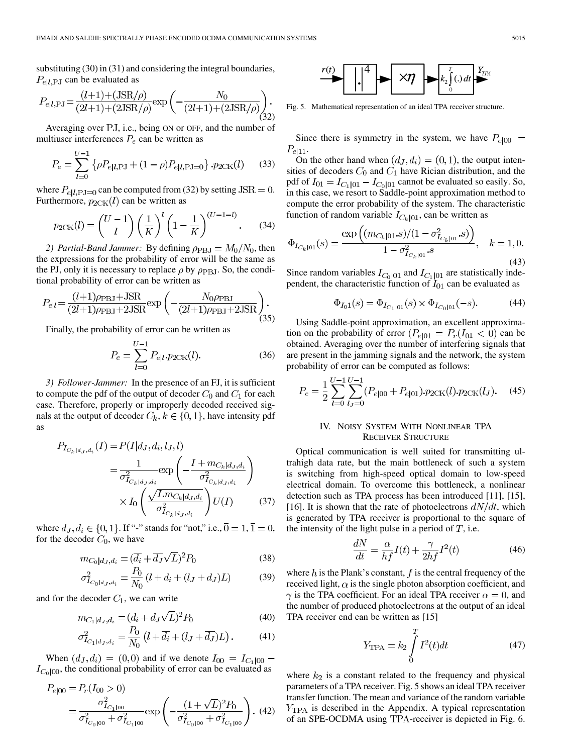substituting (30) in (31) and considering the integral boundaries,  $P_{e|l,\text{PJ}}$  can be evaluated as

$$
P_{e|l,\text{PJ}} = \frac{(l+1) + (\text{JSR}/\rho)}{(2l+1) + (2\text{JSR}/\rho)} \exp\left(-\frac{N_0}{(2l+1) + (2\text{JSR}/\rho)}\right). \tag{32}
$$

Averaging over  $\overline{P}J$ , i.e., being ON or OFF, and the number of multiuser interferences  $P_e$  can be written as

$$
P_e = \sum_{l=0}^{U-1} \left\{ \rho P_{e|l, \text{PJ}} + (1 - \rho) P_{e|l, \text{PJ}} \right\} \cdot p_{2\text{CK}}(l) \tag{33}
$$

where  $P_{e|l, PJ=0}$  can be computed from (32) by setting  $JSR = 0$ . Furthermore,  $p_{2CK}(l)$  can be written as

$$
p_{2CK}(l) = \binom{U-1}{l} \left(\frac{1}{K}\right)^l \left(1 - \frac{1}{K}\right)^{(U-1-l)}.\tag{34}
$$

2) Partial-Band Jammer: By defining  $\rho_{\rm PBJ} = M_0/N_0$ , then the expressions for the probability of error will be the same as the PJ, only it is necessary to replace  $\rho$  by  $\rho_{\rm PBJ}$ . So, the conditional probability of error can be written as

$$
P_{ell} = \frac{(l+1)\rho_{\rm PBJ} + \text{JSR}}{(2l+1)\rho_{\rm PBJ} + 2\text{JSR}} \exp\left(-\frac{N_0\rho_{\rm PBJ}}{(2l+1)\rho_{\rm PBJ} + 2\text{JSR}}\right). \tag{35}
$$

Finally, the probability of error can be written as

$$
P_e = \sum_{l=0}^{U-1} P_{e|l} \cdot p_{2CK}(l). \tag{36}
$$

*3) Follower-Jammer:* In the presence of an FJ, it is sufficient to compute the pdf of the output of decoder  $C_0$  and  $C_1$  for each case. Therefore, properly or improperly decoded received signals at the output of decoder  $C_k$ ,  $k \in \{0, 1\}$ , have intensity pdf as

$$
P_{I_{C_k|d_J,d_i}}(I) = P(I|d_J, d_i, l_J, l)
$$
  
= 
$$
\frac{1}{\sigma_{I_{C_k|d_J,d_i}}^2} \exp\left(-\frac{I + m_{C_k|d_J,d_i}}{\sigma_{I_{C_k|d_J,d_i}}^2}\right)
$$
  

$$
\times I_0 \left(\frac{\sqrt{I \cdot m_{C_k|d_J,d_i}}}{\sigma_{I_{C_k|d_J,d_i}}^2}\right) U(I) \qquad (37)
$$

where  $d_J, d_i \in \{0, 1\}$ . If "-" stands for "not," i.e.,  $\overline{0} = 1, \overline{1} = 0$ , for the decoder  $C_0$ , we have

$$
m_{C_0|d_J,d_i} = (\overline{d_i} + \overline{d_J}\sqrt{L})^2 P_0
$$
\n(38)

$$
\sigma_{I_{C_0|d_J,d_i}}^2 = \frac{P_0}{N_0} (l + d_i + (l_J + d_J)L)
$$
(39)

and for the decoder  $C_1$ , we can write

$$
m_{C_1|d_J, d_i} = (d_i + d_J \sqrt{L})^2 P_0
$$
\n(40)

$$
\sigma_{I_{C_1|d_J,d_i}}^2 = \frac{P_0}{N_0} \left( l + \overline{d_i} + (l_J + \overline{d_J}) L \right). \tag{41}
$$

When  $(d_J, d_i) = (0, 0)$  and if we denote  $I_{00} = I_{C_1|00}$  –  $I_{C_0|00}$ , the conditional probability of error can be evaluated as

$$
P_{e|00} = P_r(I_{00} > 0)
$$
  
=  $\frac{\sigma_{I_{C_1|00}}^2}{\sigma_{I_{C_0|00}}^2 + \sigma_{I_{C_1|00}}^2}$  exp $\left(-\frac{(1 + \sqrt{L})^2 P_0}{\sigma_{I_{C_0|00}}^2 + \sigma_{I_{C_1|00}}^2}\right)$ . (42)



Fig. 5. Mathematical representation of an ideal TPA receiver structure.

Since there is symmetry in the system, we have  $P_{e|00}$  =  $P_{e|11}.$ 

On the other hand when  $(d_J, d_i) = (0, 1)$ , the output intensities of decoders  $C_0$  and  $C_1$  have Rician distribution, and the pdf of  $I_{01} = I_{C_1|01} - I_{C_0|01}$  cannot be evaluated so easily. So, in this case, we resort to Saddle-point approximation method to compute the error probability of the system. The characteristic function of random variable  $I_{C_k|01}$ , can be written as

$$
\Phi_{I_{C_k|01}}(s) = \frac{\exp\left((m_{C_k|01}.s)/(1 - \sigma_{I_{C_k|01}}^2.s)\right)}{1 - \sigma_{I_{C_k|01}}^2.s}, \quad k = 1, 0.
$$
\n(43)

Since random variables  $I_{C_0|01}$  and  $I_{C_1|01}$  are statistically independent, the characteristic function of  $I_{01}$  can be evaluated as

$$
\Phi_{I_01}(s) = \Phi_{I_{C_1|01}}(s) \times \Phi_{I_{C_0|01}}(-s).
$$
 (44)

Using Saddle-point approximation, an excellent approximation on the probability of error  $(P_{e|01} = P_r(I_{01} < 0)$  can be obtained. Averaging over the number of interfering signals that are present in the jamming signals and the network, the system probability of error can be computed as follows:

$$
P_e = \frac{1}{2} \sum_{l=0}^{U-1} \sum_{l_J=0}^{U-1} (P_{e|00} + P_{e|01}) \cdot p_{2CK}(l) \cdot p_{2CK}(l_J). \tag{45}
$$

## IV. NOISY SYSTEM WITH NONLINEAR TPA RECEIVER STRUCTURE

Optical communication is well suited for transmitting ultrahigh data rate, but the main bottleneck of such a system is switching from high-speed optical domain to low-speed electrical domain. To overcome this bottleneck, a nonlinear detection such as TPA process has been introduced [11], [15], [16]. It is shown that the rate of photoelectrons  $dN/dt$ , which is generated by TPA receiver is proportional to the square of the intensity of the light pulse in a period of  $T$ , i.e.

$$
\frac{dN}{dt} = \frac{\alpha}{hf}I(t) + \frac{\gamma}{2hf}I^2(t)
$$
\n(46)

where  $h$  is the Plank's constant,  $f$  is the central frequency of the received light,  $\alpha$  is the single photon absorption coefficient, and  $\gamma$  is the TPA coefficient. For an ideal TPA receiver  $\alpha = 0$ , and the number of produced photoelectrons at the output of an ideal TPA receiver end can be written as [15]

$$
Y_{\text{TPA}} = k_2 \int_{0}^{T} I^2(t)dt
$$
 (47)

where  $k_2$  is a constant related to the frequency and physical parameters of a TPA receiver. Fig. 5 shows an ideal TPA receiver transfer function. The mean and variance of the random variable  $Y_{\text{TPA}}$  is described in the Appendix. A typical representation of an SPE-OCDMA using TPA-receiver is depicted in Fig. 6.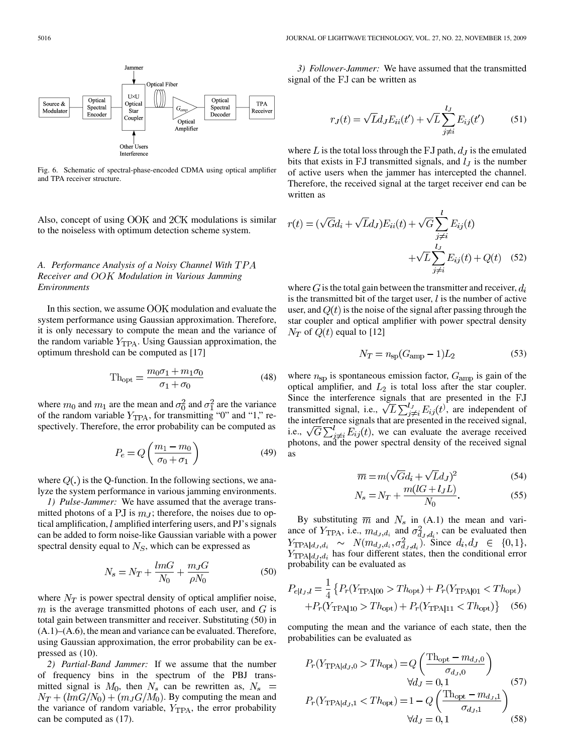

Fig. 6. Schematic of spectral-phase-encoded CDMA using optical amplifier and TPA receiver structure.

Also, concept of using  $OOK$  and  $2CK$  modulations is similar to the noiseless with optimum detection scheme system.

## *A. Performance Analysis of a Noisy Channel With Receiver and Modulation in Various Jamming Environments*

In this section, we assume  $OOK$  modulation and evaluate the system performance using Gaussian approximation. Therefore, it is only necessary to compute the mean and the variance of the random variable  $Y_{TPA}$ . Using Gaussian approximation, the optimum threshold can be computed as [17]

$$
\text{Th}_{\text{opt}} = \frac{m_0 \sigma_1 + m_1 \sigma_0}{\sigma_1 + \sigma_0} \tag{48}
$$

where  $m_0$  and  $m_1$  are the mean and  $\sigma_0^2$  and  $\sigma_1^2$  are the variance of the random variable  $Y_{\text{TPA}}$ , for transmitting "0" and "1," respectively. Therefore, the error probability can be computed as

$$
P_e = Q\left(\frac{m_1 - m_0}{\sigma_0 + \sigma_1}\right) \tag{49}
$$

where  $Q(.)$  is the Q-function. In the following sections, we analyze the system performance in various jamming environments.

*1) Pulse-Jammer:* We have assumed that the average transmitted photons of a PJ is  $m<sub>J</sub>$ ; therefore, the noises due to optical amplification,  $l$  amplified interfering users, and PJ's signals can be added to form noise-like Gaussian variable with a power spectral density equal to  $N<sub>S</sub>$ , which can be expressed as

$$
N_s = N_T + \frac{lmG}{N_0} + \frac{m_J G}{\rho N_0} \tag{50}
$$

where  $N_T$  is power spectral density of optical amplifier noise,  $m$  is the average transmitted photons of each user, and  $G$  is total gain between transmitter and receiver. Substituting (50) in (A.1)–(A.6), the mean and variance can be evaluated. Therefore, using Gaussian approximation, the error probability can be expressed as (10).

*2) Partial-Band Jammer:* If we assume that the number of frequency bins in the spectrum of the PBJ transmitted signal is  $M_0$ , then  $N_s$  can be rewritten as,  $N_s$  =  $N_T + (lmG/N_0) + (m_JG/M_0)$ . By computing the mean and the variance of random variable,  $Y_{TPA}$ , the error probability can be computed as (17).

*3) Follower-Jammer:* We have assumed that the transmitted signal of the FJ can be written as

$$
r_J(t) = \sqrt{L}d_J E_{ii}(t') + \sqrt{L} \sum_{j \neq i}^{l_J} E_{ij}(t')
$$
 (51)

where  $L$  is the total loss through the FJ path,  $d_J$  is the emulated bits that exists in FJ transmitted signals, and  $l<sub>J</sub>$  is the number of active users when the jammer has intercepted the channel. Therefore, the received signal at the target receiver end can be written as

$$
r(t) = (\sqrt{G}d_i + \sqrt{L}d_J)E_{ii}(t) + \sqrt{G}\sum_{\substack{j \neq i}}^{l} E_{ij}(t)
$$

$$
+ \sqrt{L}\sum_{\substack{j \neq i}}^{l} E_{ij}(t) + Q(t) \quad (52)
$$

where G is the total gain between the transmitter and receiver,  $d_i$ is the transmitted bit of the target user,  $l$  is the number of active user, and  $Q(t)$  is the noise of the signal after passing through the star coupler and optical amplifier with power spectral density  $N_T$  of  $Q(t)$  equal to [12]

$$
N_T = n_{\rm sp}(G_{\rm amp} - 1)L_2 \tag{53}
$$

where  $n_{sp}$  is spontaneous emission factor,  $G_{amp}$  is gain of the optical amplifier, and  $L_2$  is total loss after the star coupler. Since the interference signals that are presented in the transmitted signal, i.e.,  $\sqrt{L} \sum_{i=1}^{t} E_{ij}(t)$ , are independent of the interference signals that are presented in the received signal, i.e.,  $\sqrt{G}\sum_{j\neq i}^{l}E_{ij}(t)$ , we can evaluate the average received photons, and the power spectral density of the received signal as

$$
\overline{m} = m(\sqrt{G}d_i + \sqrt{L}d_J)^2
$$
\n(54)

$$
N_s = N_T + \frac{m(tG + t_JL)}{N_0}.
$$
 (55)

By substituting  $\overline{m}$  and  $N_s$  in (A.1) the mean and variance of  $Y_{\text{TPA}}$ , i.e.,  $m_{d_J, d_i}$  and  $\sigma_{d_J, d_i}^2$ , can be evaluated then  $Y_{\text{TPA}|d_J,d_i} \sim N(m_{d_J,d_i}, \sigma_{d_J,d_i}^2)$ . Since  $d_i, d_J \in \{0,1\}$ ,  $Y_{\text{TPA}|d_{I},d_{i}}$  has four different states, then the conditional error probability can be evaluated as

$$
P_{e|l_J,l} = \frac{1}{4} \left\{ P_r(Y_{\text{TPA}|00} > Th_{\text{opt}}) + P_r(Y_{\text{TPA}|01} < Th_{\text{opt}}) + P_r(Y_{\text{TPA}|10} > Th_{\text{opt}}) + P_r(Y_{\text{TPA}|11} < Th_{\text{opt}}) \right\} \tag{56}
$$

computing the mean and the variance of each state, then the probabilities can be evaluated as

$$
P_r(Y_{\text{TPA}|d_J,0} > Th_{\text{opt}}) = Q\left(\frac{\text{Th}_{\text{opt}} - m_{d_J,0}}{\sigma_{d_J,0}}\right)
$$
  

$$
\forall d_J = 0,1
$$
 (57)  

$$
P_r(Y_{\text{TPA}|d_J,1} < Th_{\text{opt}}) = 1 - Q\left(\frac{\text{Th}_{\text{opt}} - m_{d_J,1}}{\sigma_{d_J,1}}\right)
$$
  

$$
\forall d_J = 0,1
$$
 (58)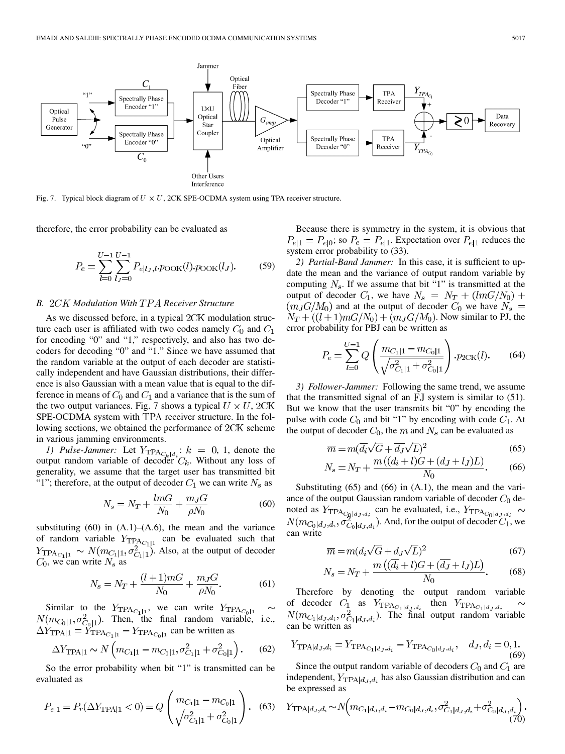

Fig. 7. Typical block diagram of  $U \times U$ , 2CK SPE-OCDMA system using TPA receiver structure.

therefore, the error probability can be evaluated as

$$
P_e = \sum_{l=0}^{U-1} \sum_{l,j=0}^{U-1} P_{e|l,j,l} \cdot p_{\text{OOK}}(l) \cdot p_{\text{OOK}}(l_j). \tag{59}
$$

#### *B. Modulation With Receiver Structure*

As we discussed before, in a typical  $2CK$  modulation structure each user is affiliated with two codes namely  $C_0$  and  $C_1$ for encoding "0" and "1," respectively, and also has two decoders for decoding "0" and "1." Since we have assumed that the random variable at the output of each decoder are statistically independent and have Gaussian distributions, their difference is also Gaussian with a mean value that is equal to the difference in means of  $C_0$  and  $C_1$  and a variance that is the sum of the two output variances. Fig. 7 shows a typical  $U \times U$ , 2CK SPE-OCDMA system with TPA receiver structure. In the following sections, we obtained the performance of  $2CK$  scheme in various jamming environments.

*1) Pulse-Jammer:* Let  $Y_{\text{TPA}_{C_1+d}}$ :  $k = 0, 1$ , denote the output random variable of decoder  $C_k$ . Without any loss of generality, we assume that the target user has transmitted bit "1"; therefore, at the output of decoder  $C_1$  we can write  $N_s$  as

$$
N_s = N_T + \frac{lmG}{N_0} + \frac{m_J G}{\rho N_0} \tag{60}
$$

substituting  $(60)$  in  $(A.1)$ – $(A.6)$ , the mean and the variance of random variable  $Y_{\text{TPA}_{C_1|1}}$  can be evaluated such that  $Y_{\text{TPA}_{C_1|1}} \sim N(m_{C_1|1}, \sigma^2_{C_1|1})$ . Also, at the output of decoder  $C_0$ , we can write  $N_s$  as

$$
N_s = N_T + \frac{(l+1)m}{N_0} + \frac{m_J G}{\rho N_0}.
$$
 (61)

Similar to the  $Y_{\text{TPA}_{C_1|1}}$ , we can write . Then, the final random variable, i.e., can be written as

$$
\Delta Y_{\text{TPA}|1} \sim N \left( m_{C_1|1} - m_{C_0|1}, \sigma_{C_1|1}^2 + \sigma_{C_0|1}^2 \right). \tag{62}
$$

So the error probability when bit "1" is transmitted can be evaluated as

$$
P_{e|1} = P_r(\Delta Y_{\text{TPA}|1} < 0) = Q \left( \frac{m_{C_1|1} - m_{C_0|1}}{\sqrt{\sigma_{C_1|1}^2 + \sigma_{C_0|1}^2}} \right). \tag{63}
$$

Because there is symmetry in the system, it is obvious that  $P_{e|1} = P_{e|0}$ ; so  $P_e = P_{e|1}$ . Expectation over  $P_{e|1}$  reduces the system error probability to (33).

*2) Partial-Band Jammer:* In this case, it is sufficient to update the mean and the variance of output random variable by computing  $N_s$ . If we assume that bit "1" is transmitted at the output of decoder  $C_1$ , we have  $N_s = N_T + (lmG/N_0) +$  $(m_J G/M_0)$  and at the output of decoder  $C_0$  we have  $N_s =$  $N_T + ((l+1)mG/N_0) + (m_JG/M_0)$ . Now similar to PJ, the error probability for PBJ can be written as

$$
P_e = \sum_{l=0}^{U-1} Q\left(\frac{m_{C_1|1} - m_{C_0|1}}{\sqrt{\sigma_{C_1|1}^2 + \sigma_{C_0|1}^2}}\right) \cdot p_{2CK}(l). \tag{64}
$$

*3) Follower-Jammer:* Following the same trend, we assume that the transmitted signal of an  $FJ$  system is similar to  $(51)$ . But we know that the user transmits bit "0" by encoding the pulse with code  $C_0$  and bit "1" by encoding with code  $C_1$ . At the output of decoder  $C_0$ , the  $\overline{m}$  and  $N_s$  can be evaluated as

$$
\overline{m} = m(\overline{d_i}\sqrt{G} + \overline{d_J}\sqrt{L})^2
$$
\n(65)

$$
N_s = N_T + \frac{m\left((d_i + l)G + (d_J + l_J)L\right)}{N_0}.\tag{66}
$$

Substituting (65) and (66) in (A.1), the mean and the variance of the output Gaussian random variable of decoder  $C_0$  denoted as  $Y_{\text{TPA}_{\text{Cold},i,d}}$  can be evaluated, i.e., . And, for the output of decoder  $C_1$ , we can write

$$
\overline{m} = m(d_i\sqrt{G} + d_J\sqrt{L})^2
$$
  

$$
m((\overline{d_i} + I)G + (\overline{d_j} + I_J)I)
$$
 (67)

$$
N_s = N_T + \frac{m\left((a_i + l)G + (a_J + l_J)L\right)}{N_0}.
$$
 (68)

Therefore by denoting the output random variable of decoder  $C_1$  as  $Y_{\text{TPA}_{C_1|d_x, d_y}}$  then . The final output random variable can be written as

$$
Y_{\text{TPA}|d_J, d_i} = Y_{\text{TPA}_{C_1|d_J, d_i}} - Y_{\text{TPA}_{C_0|d_J, d_i}}, \quad d_J, d_i = 0, 1.
$$
\n(69)

Since the output random variable of decoders  $C_0$  and  $C_1$  are independent,  $Y_{\text{TPA}|d_{J},d_{i}}$  has also Gaussian distribution and can be expressed as

$$
Y_{\text{TPA}|d_J, d_i} \sim N \Big( m_{C_1|d_J, d_i} - m_{C_0|d_J, d_i}, \sigma^2_{C_1|d_J, d_i} + \sigma^2_{C_0|d_J, d_i} \Big). \tag{70}
$$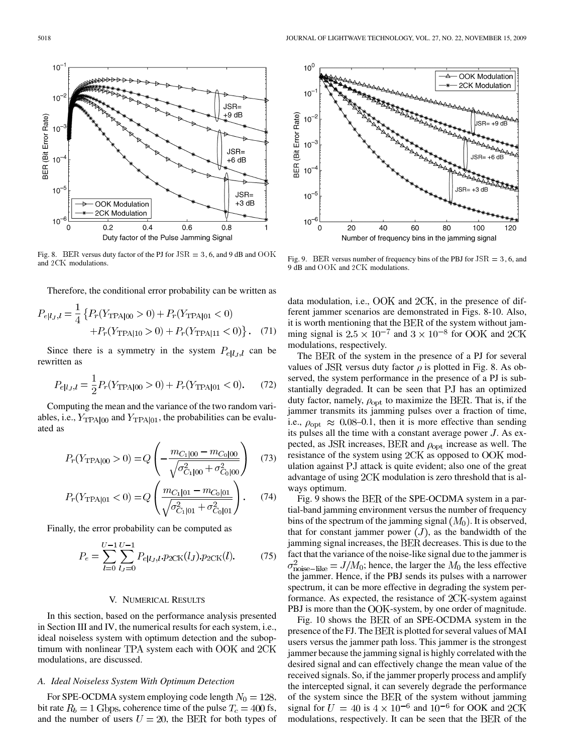$10<sup>-</sup>$  $10$ JSR= +9 dB BER (Bit Error Rate)  $10$ JSR=  $10<sup>7</sup>$ +6 dB  $10^{-5}$ JSR=  $+3$  dB **OOK Modulation** 2CK Modulation  $10^{-6}$  $0.2$ 0  $0.4$  $0.6$  $0.8$ Duty factor of the Pulse Jamming Signal

Fig. 8. BER versus duty factor of the PJ for  $JSR = 3, 6$ , and 9 dB and  $OOK$ and 2CK modulations.

Therefore, the conditional error probability can be written as

$$
P_{e|l_J,l} = \frac{1}{4} \left\{ P_r(Y_{\text{TPA}|00} > 0) + P_r(Y_{\text{TPA}|01} < 0) + P_r(Y_{\text{TPA}|11} < 0) \right\}. \tag{71}
$$

Since there is a symmetry in the system  $P_{ell, l}$  can be rewritten as

$$
P_{e|l_J,l} = \frac{1}{2} P_r(Y_{\text{TPA}|00} > 0) + P_r(Y_{\text{TPA}|01} < 0). \tag{72}
$$

Computing the mean and the variance of the two random variables, i.e.,  $Y_{\text{TPA}|00}$  and  $Y_{\text{TPA}|01}$ , the probabilities can be evaluated as

$$
P_r(Y_{\text{TPA}|00} > 0) = Q\left(-\frac{m_{C_1|00} - m_{C_0|00}}{\sqrt{\sigma_{C_1|00}^2 + \sigma_{C_0|00}^2}}\right) \quad (73)
$$

$$
P_r(Y_{\text{TPA}|01} < 0) = Q\left(\frac{m_{C_1|01} - m_{C_0|01}}{\sqrt{\sigma_{C_1|01}^2 + \sigma_{C_0|01}^2}}\right). \tag{74}
$$

Finally, the error probability can be computed as

$$
P_e = \sum_{l=0}^{U-1} \sum_{l,j=0}^{U-1} P_{e|l,j,l} p_{2CK}(l_j) \cdot p_{2CK}(l). \tag{75}
$$

#### V. NUMERICAL RESULTS

In this section, based on the performance analysis presented in Section III and IV, the numerical results for each system, i.e., ideal noiseless system with optimum detection and the suboptimum with nonlinear TPA system each with  $OOK$  and  $2CK$ modulations, are discussed.

#### *A. Ideal Noiseless System With Optimum Detection*

For SPE-OCDMA system employing code length  $N_0 = 128$ , bit rate  $R_b = 1$  Gbps, coherence time of the pulse  $T_c = 400$  fs, and the number of users  $U = 20$ , the BER for both types of



data modulation, i.e.,  $\rm OOK$  and  $\rm 2CK$ , in the presence of different jammer scenarios are demonstrated in Figs. 8-10. Also, it is worth mentioning that the BER of the system without jamming signal is  $2.5 \times 10^{-7}$  and  $3 \times 10^{-8}$  for OOK and 2CK modulations, respectively.

The BER of the system in the presence of a PJ for several values of JSR versus duty factor  $\rho$  is plotted in Fig. 8. As observed, the system performance in the presence of a PJ is substantially degraded. It can be seen that PJ has an optimized duty factor, namely,  $\rho_{\rm opt}$  to maximize the BER. That is, if the jammer transmits its jamming pulses over a fraction of time, i.e.,  $\rho_{\text{opt}} \approx 0.08{\text -}0.1$ , then it is more effective than sending its pulses all the time with a constant average power  $J$ . As expected, as JSR increases, BER and  $\rho_{opt}$  increase as well. The resistance of the system using 2CK as opposed to OOK modulation against PJ attack is quite evident; also one of the great advantage of using  $2CK$  modulation is zero threshold that is always optimum.

Fig. 9 shows the BER of the SPE-OCDMA system in a partial-band jamming environment versus the number of frequency bins of the spectrum of the jamming signal  $(M_0)$ . It is observed, that for constant jammer power  $(J)$ , as the bandwidth of the jamming signal increases, the BER decreases. This is due to the fact that the variance of the noise-like signal due to the jammer is  $\sigma_{\text{noise-like}}^2 = J/M_0$ ; hence, the larger the  $M_0$  the less effective the jammer. Hence, if the PBJ sends its pulses with a narrower spectrum, it can be more effective in degrading the system performance. As expected, the resistance of  $2CK$ -system against PBJ is more than the OOK-system, by one order of magnitude.

Fig. 10 shows the BER of an SPE-OCDMA system in the presence of the FJ. The BER is plotted for several values of MAI users versus the jammer path loss. This jammer is the strongest jammer because the jamming signal is highly correlated with the desired signal and can effectively change the mean value of the received signals. So, if the jammer properly process and amplify the intercepted signal, it can severely degrade the performance of the system since the BER of the system without jamming signal for  $U = 40$  is  $4 \times 10^{-6}$  and  $10^{-6}$  for OOK and 2CK modulations, respectively. It can be seen that the BER of the

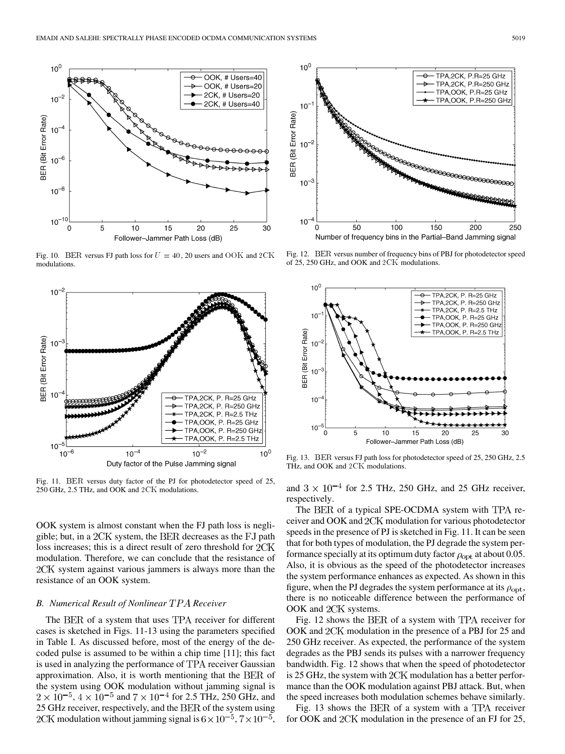

Fig. 10. BER versus FJ path loss for  $U = 40$ , 20 users and OOK and 2CK modulations.



Fig. 11. BER versus duty factor of the PJ for photodetector speed of 25, 250 GHz, 2.5 THz, and OOK and 2CK modulations.

OOK system is almost constant when the FJ path loss is negligible; but, in a  $2CK$  system, the BER decreases as the FJ path loss increases; this is a direct result of zero threshold for  $2CK$ modulation. Therefore, we can conclude that the resistance of 2CK system against various jammers is always more than the resistance of an OOK system.

#### *B. Numerical Result of Nonlinear Receiver*

The BER of a system that uses TPA receiver for different cases is sketched in Figs. 11-13 using the parameters specified in Table I. As discussed before, most of the energy of the decoded pulse is assumed to be within a chip time [11]; this fact is used in analyzing the performance of TPA receiver Gaussian approximation. Also, it is worth mentioning that the BER of the system using OOK modulation without jamming signal is  $2 \times 10^{-5}$ ,  $4 \times 10^{-5}$  and  $7 \times 10^{-4}$  for 2.5 THz, 250 GHz, and  $25$  GHz receiver, respectively, and the  $BER$  of the system using 2CK modulation without jamming signal is  $6 \times 10^{-5}$ ,  $7 \times 10^{-5}$ ,



Fig. 12. BER versus number of frequency bins of PBJ for photodetector speed of 25, 250 GHz, and OOK and  $2 \times K$  modulations.



Fig. 13. BER versus FJ path loss for photodetector speed of 25, 250 GHz, 2.5 THz, and OOK and 2CK modulations.

and  $3 \times 10^{-4}$  for 2.5 THz, 250 GHz, and 25 GHz receiver, respectively.

The BER of a typical SPE-OCDMA system with TPA receiver and OOK and 2CK modulation for various photodetector speeds in the presence of PJ is sketched in Fig. 11. It can be seen that for both types of modulation, the PJ degrade the system performance specially at its optimum duty factor  $\rho_{opt}$  at about 0.05. Also, it is obvious as the speed of the photodetector increases the system performance enhances as expected. As shown in this figure, when the PJ degrades the system performance at its  $\rho_{\rm opt}$ , there is no noticeable difference between the performance of OOK and 2CK systems.

Fig. 12 shows the BER of a system with TPA receiver for OOK and 2CK modulation in the presence of a PBJ for 25 and 250 GHz receiver. As expected, the performance of the system degrades as the PBJ sends its pulses with a narrower frequency bandwidth. Fig. 12 shows that when the speed of photodetector is 25 GHz, the system with  $2CK$  modulation has a better performance than the OOK modulation against PBJ attack. But, when the speed increases both modulation schemes behave similarly.

Fig. 13 shows the BER of a system with a TPA receiver for OOK and  $2CK$  modulation in the presence of an FJ for 25,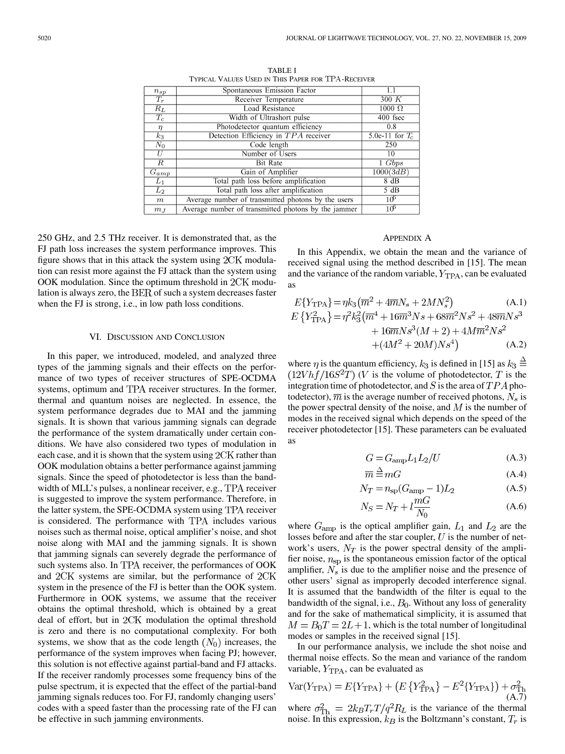| $n_{sp}$         | Spontaneous Emission Factor                         | 1.1               |
|------------------|-----------------------------------------------------|-------------------|
| $T_r$            | Receiver Temperature                                | 300 K             |
| $R_L$            | <b>Load Resistance</b>                              | $1000 \Omega$     |
| $T_c$            | Width of Ultrashort pulse                           | 400 fsec          |
| $\eta$           | Photodetector quantum efficiency                    | 0.8               |
| $k_3$            | Detection Efficiency in TPA receiver                | 5.0e-11 for $T_c$ |
| $\overline{N}_0$ | Code length                                         | 250               |
| U                | Number of Users                                     | 10                |
| R                | <b>Bit Rate</b>                                     | $1 \;Gbps$        |
| $G_{amp}$        | Gain of Amplifier                                   | 1000(3dB)         |
| $L_1$            | Total path loss before amplification                | 8 dB              |
| $L_2$            | Total path loss after amplification                 | 5 dB              |
| $\,m$            | Average number of transmitted photons by the users  | 10 <sup>6</sup>   |
| $m_{J}$          | Average number of transmitted photons by the jammer | 1Ф                |

TABLE I TYPICAL VALUES USED IN THIS PAPER FOR TPA-RECEIVER

250 GHz, and 2.5 THz receiver. It is demonstrated that, as the FJ path loss increases the system performance improves. This figure shows that in this attack the system using  $2CK$  modulation can resist more against the FJ attack than the system using  $OOK$  modulation. Since the optimum threshold in  $2CK$  modulation is always zero, the  $BER$  of such a system decreases faster when the FJ is strong, i.e., in low path loss conditions.

#### VI. DISCUSSION AND CONCLUSION

In this paper, we introduced, modeled, and analyzed three types of the jamming signals and their effects on the performance of two types of receiver structures of SPE-OCDMA systems, optimum and TPA receiver structures. In the former, thermal and quantum noises are neglected. In essence, the system performance degrades due to MAI and the jamming signals. It is shown that various jamming signals can degrade the performance of the system dramatically under certain conditions. We have also considered two types of modulation in each case, and it is shown that the system using  $2CK$  rather than OOK modulation obtains a better performance against jamming signals. Since the speed of photodetector is less than the bandwidth of MLL's pulses, a nonlinear receiver, e.g., TPA receiver is suggested to improve the system performance. Therefore, in the latter system, the SPE-OCDMA system using TPA receiver is considered. The performance with TPA includes various noises such as thermal noise, optical amplifier's noise, and shot noise along with MAI and the jamming signals. It is shown that jamming signals can severely degrade the performance of such systems also. In TPA receiver, the performances of OOK and 2CK systems are similar, but the performance of 2CK system in the presence of the FJ is better than the OOK system. Furthermore in OOK systems, we assume that the receiver obtains the optimal threshold, which is obtained by a great deal of effort, but in 2CK modulation the optimal threshold is zero and there is no computational complexity. For both systems, we show that as the code length  $(N_0)$  increases, the performance of the system improves when facing PJ; however, this solution is not effective against partial-band and FJ attacks. If the receiver randomly processes some frequency bins of the pulse spectrum, it is expected that the effect of the partial-band jamming signals reduces too. For FJ, randomly changing users' codes with a speed faster than the processing rate of the FJ can be effective in such jamming environments.

## APPENDIX A

In this Appendix, we obtain the mean and the variance of received signal using the method described in [15]. The mean and the variance of the random variable,  $Y_{TPA}$ , can be evaluated as

$$
E\{Y_{\text{TPA}}\} = \eta k_3 (\overline{m}^2 + 4\overline{m}N_s + 2MN_s^2) \tag{A.1}
$$
  
\n
$$
E\{Y_{\text{TPA}}^2\} = \eta^2 k_3^2 (\overline{m}^4 + 16\overline{m}^3 Ns + 68\overline{m}^2 Ns^2 + 48\overline{m}Ns^3 + 16\overline{m}Ns^3(M+2) + 4M\overline{m}^2 Ns^2 + (4M^2 + 20M)Ns^4) \tag{A.2}
$$

where  $\eta$  is the quantum efficiency,  $k_3$  is defined in [15] as  $k_3 \stackrel{\triangle}{=}$  $(12Vhf/16S<sup>2</sup>T)$  (V is the volume of photodetector, T is the integration time of photodetector, and  $S$  is the area of  $TPA$  photodetector),  $\overline{m}$  is the average number of received photons,  $N_s$  is the power spectral density of the noise, and  $M$  is the number of modes in the received signal which depends on the speed of the receiver photodetector [15]. These parameters can be evaluated as

$$
G = G_{\rm amp} L_1 L_2 / U \tag{A.3}
$$

$$
\overline{m} \stackrel{\Delta}{=} mG \tag{A.4}
$$

$$
N_T = n_{\rm sp}(G_{\rm amp} - 1)L_2 \tag{A.5}
$$

$$
N_S = N_T + l \frac{mG}{N_0}
$$
\n(A.6)

where  $G_{\text{amp}}$  is the optical amplifier gain,  $L_1$  and  $L_2$  are the losses before and after the star coupler,  $U$  is the number of network's users,  $N_T$  is the power spectral density of the amplifier noise,  $n_{sp}$  is the spontaneous emission factor of the optical amplifier,  $N_s$  is due to the amplifier noise and the presence of other users' signal as improperly decoded interference signal. It is assumed that the bandwidth of the filter is equal to the bandwidth of the signal, i.e.,  $B_0$ . Without any loss of generality and for the sake of mathematical simplicity, it is assumed that  $M = B_0T = 2L + 1$ , which is the total number of longitudinal modes or samples in the received signal [15].

In our performance analysis, we include the shot noise and thermal noise effects. So the mean and variance of the random variable,  $Y_{TPA}$ , can be evaluated as

$$
Var(Y_{TPA}) = E{Y_{TPA}} + (E{Y_{TPA}^2} - E^2{Y_{TPA}}) + \sigma_{Th}^2
$$
\n(A.7)

where  $\sigma_{\text{Th}}^2 = 2k_B T_r T / q^2 R_L$  is the variance of the thermal noise. In this expression,  $k_B$  is the Boltzmann's constant,  $T_r$  is